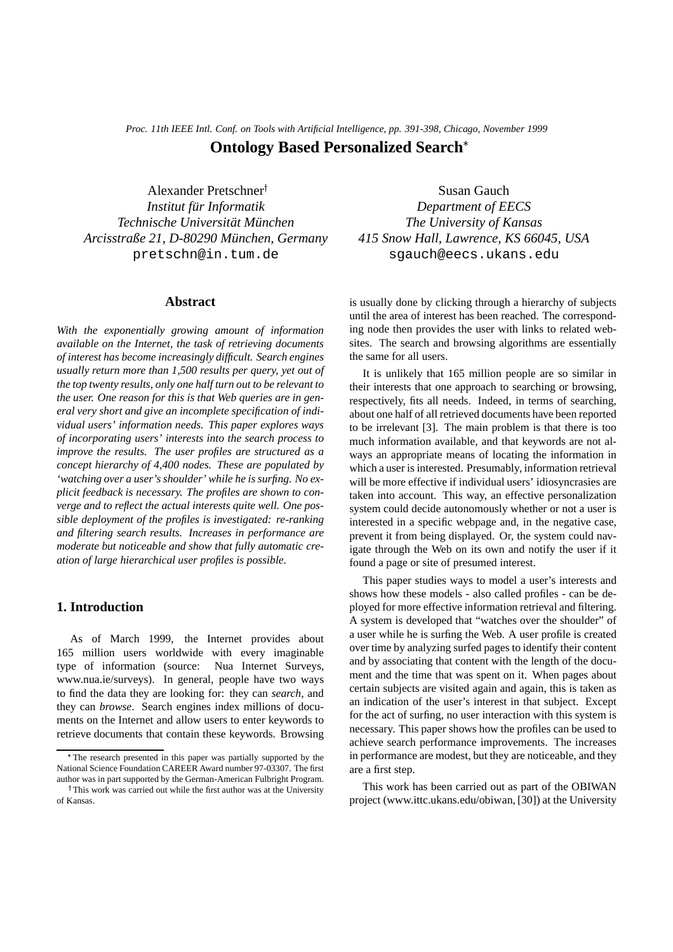*Proc. 11th IEEE Intl. Conf. on Tools with Artificial Intelligence, pp. 391-398, Chicago, November 1999*

# **Ontology Based Personalized Search**

Alexander Pretschner *Institut fur¨ Informatik Technische Universitat¨ Munc ¨ hen Arcisstraße 21, D-80290 Munc ¨ hen, Germany* pretschn@in.tum.de

### **Abstract**

*With the exponentially growing amount of information available on the Internet, the task of retrieving documents of interest has become increasingly difficult. Search engines usually return more than 1,500 results per query, yet out of the top twenty results, only one half turn out to be relevant to the user. One reason for this is that Web queries are in general very short and give an incomplete specification of individual users' information needs. This paper explores ways of incorporating users' interests into the search process to improve the results. The user profiles are structured as a concept hierarchy of 4,400 nodes. These are populated by 'watching over a user'sshoulder' while he is surfing. No explicit feedback is necessary. The profiles are shown to converge and to reflect the actual interests quite well. One possible deployment of the profiles is investigated: re-ranking and filtering search results. Increases in performance are moderate but noticeable and show that fully automatic creation of large hierarchical user profiles is possible.*

# **1. Introduction**

As of March 1999, the Internet provides about 165 million users worldwide with every imaginable type of information (source: Nua Internet Surveys, www.nua.ie/surveys). In general, people have two ways to find the data they are looking for: they can *search*, and they can *browse*. Search engines index millions of documents on the Internet and allow users to enter keywords to retrieve documents that contain these keywords. Browsing

Susan Gauch *Department of EECS The University of Kansas 415 Snow Hall, Lawrence, KS 66045, USA* sgauch@eecs.ukans.edu

is usually done by clicking through a hierarchy of subjects until the area of interest has been reached. The corresponding node then provides the user with links to related websites. The search and browsing algorithms are essentially the same for all users.

It is unlikely that 165 million people are so similar in their interests that one approach to searching or browsing, respectively, fits all needs. Indeed, in terms of searching, about one half of all retrieved documents have been reported to be irrelevant [3]. The main problem is that there is too much information available, and that keywords are not always an appropriate means of locating the information in which a user is interested. Presumably, information retrieval will be more effective if individual users' idiosyncrasies are taken into account. This way, an effective personalization system could decide autonomously whether or not a user is interested in a specific webpage and, in the negative case, prevent it from being displayed. Or, the system could navigate through the Web on its own and notify the user if it found a page or site of presumed interest.

This paper studies ways to model a user's interests and shows how these models - also called profiles - can be deployed for more effective information retrieval and filtering. A system is developed that "watches over the shoulder" of a user while he is surfing the Web. A user profile is created over time by analyzing surfed pages to identify their content and by associating that content with the length of the document and the time that was spent on it. When pages about certain subjects are visited again and again, this is taken as an indication of the user's interest in that subject. Except for the act of surfing, no user interaction with this system is necessary. This paper shows how the profiles can be used to achieve search performance improvements. The increases in performance are modest, but they are noticeable, and they are a first step.

This work has been carried out as part of the OBIWAN project (www.ittc.ukans.edu/obiwan, [30]) at the University

<sup>-</sup> The research presented in this paper was partially supported by the National Science Foundation CAREER Award number 97-03307. The first author was in part supported by the German-American Fulbright Program.

This work was carried out while the first author was at the University of Kansas.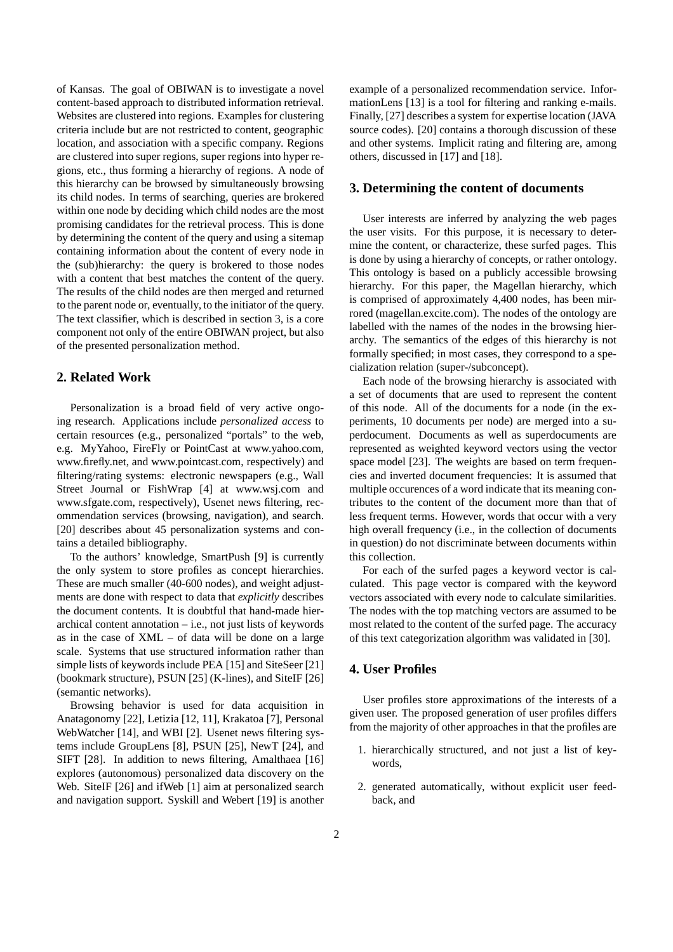of Kansas. The goal of OBIWAN is to investigate a novel content-based approach to distributed information retrieval. Websites are clustered into regions. Examples for clustering criteria include but are not restricted to content, geographic location, and association with a specific company. Regions are clustered into super regions, super regions into hyper regions, etc., thus forming a hierarchy of regions. A node of this hierarchy can be browsed by simultaneously browsing its child nodes. In terms of searching, queries are brokered within one node by deciding which child nodes are the most promising candidates for the retrieval process. This is done by determining the content of the query and using a sitemap containing information about the content of every node in the (sub)hierarchy: the query is brokered to those nodes with a content that best matches the content of the query. The results of the child nodes are then merged and returned to the parent node or, eventually, to the initiator of the query. The text classifier, which is described in section 3, is a core component not only of the entire OBIWAN project, but also of the presented personalization method.

# **2. Related Work**

Personalization is a broad field of very active ongoing research. Applications include *personalized access* to certain resources (e.g., personalized "portals" to the web, e.g. MyYahoo, FireFly or PointCast at www.yahoo.com, www.firefly.net, and www.pointcast.com, respectively) and filtering/rating systems: electronic newspapers (e.g., Wall Street Journal or FishWrap [4] at www.wsj.com and www.sfgate.com, respectively), Usenet news filtering, recommendation services (browsing, navigation), and search. [20] describes about 45 personalization systems and contains a detailed bibliography.

To the authors' knowledge, SmartPush [9] is currently the only system to store profiles as concept hierarchies. These are much smaller (40-600 nodes), and weight adjustments are done with respect to data that *explicitly* describes the document contents. It is doubtful that hand-made hierarchical content annotation  $-$  i.e., not just lists of keywords as in the case of XML – of data will be done on a large scale. Systems that use structured information rather than simple lists of keywords include PEA [15] and SiteSeer [21] (bookmark structure), PSUN [25] (K-lines), and SiteIF [26] (semantic networks).

Browsing behavior is used for data acquisition in Anatagonomy [22], Letizia [12, 11], Krakatoa [7], Personal WebWatcher [14], and WBI [2]. Usenet news filtering systems include GroupLens [8], PSUN [25], NewT [24], and SIFT [28]. In addition to news filtering, Amalthaea [16] explores (autonomous) personalized data discovery on the Web. SiteIF [26] and ifWeb [1] aim at personalized search and navigation support. Syskill and Webert [19] is another example of a personalized recommendation service. InformationLens [13] is a tool for filtering and ranking e-mails. Finally, [27] describes a system for expertise location (JAVA source codes). [20] contains a thorough discussion of these and other systems. Implicit rating and filtering are, among others, discussed in [17] and [18].

# **3. Determining the content of documents**

User interests are inferred by analyzing the web pages the user visits. For this purpose, it is necessary to determine the content, or characterize, these surfed pages. This is done by using a hierarchy of concepts, or rather ontology. This ontology is based on a publicly accessible browsing hierarchy. For this paper, the Magellan hierarchy, which is comprised of approximately 4,400 nodes, has been mirrored (magellan.excite.com). The nodes of the ontology are labelled with the names of the nodes in the browsing hierarchy. The semantics of the edges of this hierarchy is not formally specified; in most cases, they correspond to a specialization relation (super-/subconcept).

Each node of the browsing hierarchy is associated with a set of documents that are used to represent the content of this node. All of the documents for a node (in the experiments, 10 documents per node) are merged into a superdocument. Documents as well as superdocuments are represented as weighted keyword vectors using the vector space model [23]. The weights are based on term frequencies and inverted document frequencies: It is assumed that multiple occurences of a word indicate that its meaning contributes to the content of the document more than that of less frequent terms. However, words that occur with a very high overall frequency (*i.e.*, in the collection of documents in question) do not discriminate between documents within this collection.

For each of the surfed pages a keyword vector is calculated. This page vector is compared with the keyword vectors associated with every node to calculate similarities. The nodes with the top matching vectors are assumed to be most related to the content of the surfed page. The accuracy of this text categorization algorithm was validated in [30].

# **4. User Profiles**

User profiles store approximations of the interests of a given user. The proposed generation of user profiles differs from the majority of other approaches in that the profiles are

- 1. hierarchically structured, and not just a list of keywords,
- 2. generated automatically, without explicit user feedback, and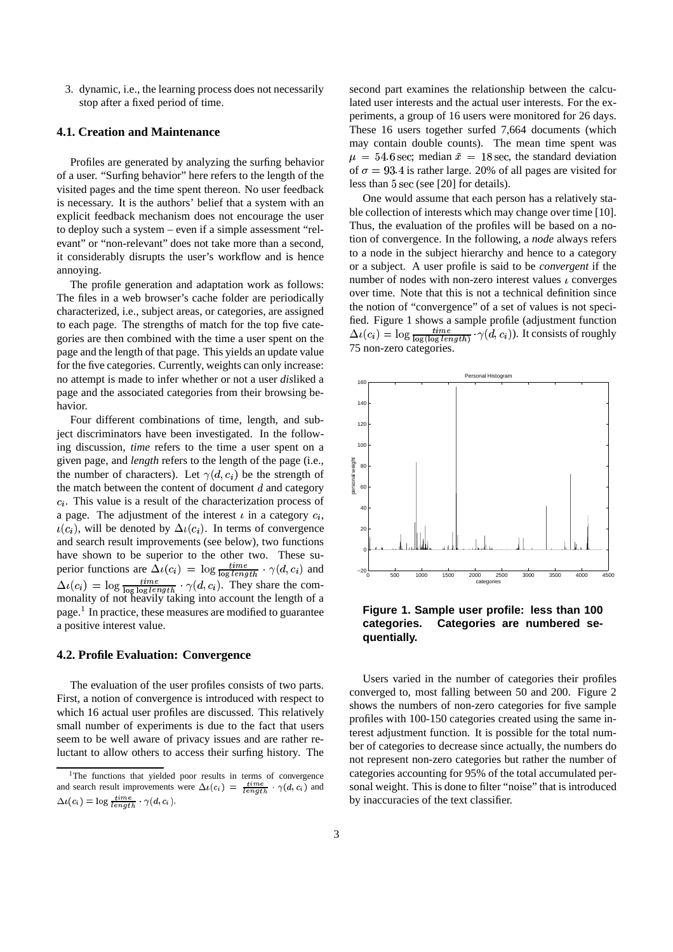3. dynamic, i.e., the learning process does not necessarily stop after a fixed period of time.

### **4.1. Creation and Maintenance**

Profiles are generated by analyzing the surfing behavior of a user. "Surfing behavior" here refers to the length of the visited pages and the time spent thereon. No user feedback is necessary. It is the authors' belief that a system with an explicit feedback mechanism does not encourage the user to deploy such a system – even if a simple assessment "relevant" or "non-relevant" does not take more than a second, it considerably disrupts the user's workflow and is hence annoying.

The profile generation and adaptation work as follows: The files in a web browser's cache folder are periodically characterized, i.e., subject areas, or categories, are assigned to each page. The strengths of match for the top five categories are then combined with the time a user spent on the page and the length of that page. This yields an update value for the five categories. Currently, weights can only increase: no attempt is made to infer whether or not a user *dis*liked a page and the associated categories from their browsing behavior.

Four different combinations of time, length, and subject discriminators have been investigated. In the following discussion, *time* refers to the time a user spent on a given page, and *length* refers to the length of the page (i.e., the number of characters). Let  $\gamma(d, c_i)$  be the strength of the match between the content of document  $d$  and category  $c_i$ . This value is a result of the characterization process of a page. The adjustment of the interest  $\iota$  in a category  $c_i$ ,  $\iota(c_i)$ , will be denoted by  $\Delta \iota(c_i)$ . In terms of convergence and search result improvements (see below), two functions have shown to be superior to the other two. These superior functions are  $\Delta \iota(c_i) = \log \frac{time}{\log length} \cdot \gamma(d, c_i)$  and  $\Delta t(c_i) = \log \frac{time}{\log \log length} \cdot \gamma(d, c_i)$ . They share the commonality of not heavily taking into account the length of a page.<sup>1</sup> In practice, these measures are modified to guarantee a positive interest value.

### **4.2. Profile Evaluation: Convergence**

The evaluation of the user profiles consists of two parts. First, a notion of convergence is introduced with respect to which 16 actual user profiles are discussed. This relatively small number of experiments is due to the fact that users seem to be well aware of privacy issues and are rather reluctant to allow others to access their surfing history. The second part examines the relationship between the calculated user interests and the actual user interests. For the experiments, a group of 16 users were monitored for 26 days. These 16 users together surfed 7,664 documents (which may contain double counts). The mean time spent was  $\mu = 54.6$  sec; median  $\tilde{x} = 18$  sec, the standard deviation of  $\sigma = 93.4$  is rather large. 20% of all pages are visited for less than  $5 \text{ sec}$  (see [20] for details).

One would assume that each person has a relatively stable collection of interests which may change over time [10]. Thus, the evaluation of the profiles will be based on a notion of convergence. In the following, a *node* always refers to a node in the subject hierarchy and hence to a category or a subject. A user profile is said to be *convergent* if the number of nodes with non-zero interest values  $\iota$  converges over time. Note that this is not a technical definition since the notion of "convergence" of a set of values is not specified. Figure 1 shows a sample profile (adjustment function  $\Delta t(c_i) = \log \frac{time}{\log(\log length)} \cdot \gamma(d, c_i)$ ). It consists of roughly 75 non-zero categories.



**Figure 1. Sample user profile: less than 100 categories. Categories are numbered sequentially.**

Users varied in the number of categories their profiles converged to, most falling between 50 and 200. Figure 2 shows the numbers of non-zero categories for five sample profiles with 100-150 categories created using the same interest adjustment function. It is possible for the total number of categories to decrease since actually, the numbers do not represent non-zero categories but rather the number of categories accounting for 95% of the total accumulated personal weight. This is done to filter "noise" that is introduced by inaccuracies of the text classifier.

<sup>&</sup>lt;sup>1</sup>The functions that yielded poor results in terms of convergence and search result improvements were  $\Delta t(c_i) = \frac{time}{length} \cdot \gamma(d, c_i)$  and  $\Delta \iota(c_i) = \log \frac{time}{length} \cdot \gamma(d, c_i).$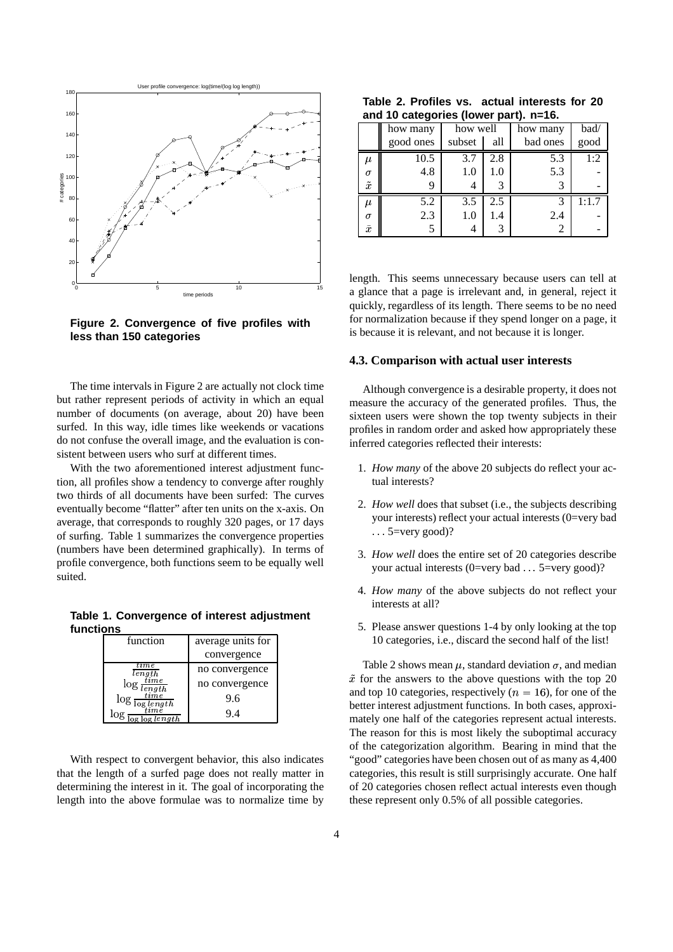

**Figure 2. Convergence of five profiles with less than 150 categories**

The time intervals in Figure 2 are actually not clock time but rather represent periods of activity in which an equal number of documents (on average, about 20) have been surfed. In this way, idle times like weekends or vacations do not confuse the overall image, and the evaluation is consistent between users who surf at different times.

With the two aforementioned interest adjustment function, all profiles show a tendency to converge after roughly two thirds of all documents have been surfed: The curves eventually become "flatter" after ten units on the x-axis. On average, that corresponds to roughly 320 pages, or 17 days of surfing. Table 1 summarizes the convergence properties (numbers have been determined graphically). In terms of profile convergence, both functions seem to be equally well suited.

**Table 1. Convergence of interest adjustment functions**

| function                          | average units for |  |  |  |
|-----------------------------------|-------------------|--|--|--|
|                                   | convergence       |  |  |  |
| $_{time}$<br>length               | no convergence    |  |  |  |
| $\log \frac{time}{length}$        | no convergence    |  |  |  |
| $\log \frac{time}{log length}$    | 9.6               |  |  |  |
| $\log \frac{1}{\log \log length}$ | 9.4               |  |  |  |

With respect to convergent behavior, this also indicates that the length of a surfed page does not really matter in determining the interest in it. The goal of incorporating the length into the above formulae was to normalize time by

|                                       | Table 2. Profiles vs. actual interests for 20 |  |  |  |  |  |
|---------------------------------------|-----------------------------------------------|--|--|--|--|--|
| and 10 categories (lower part). n=16. |                                               |  |  |  |  |  |

|             | how many  | how well |     | how many | bad/  |
|-------------|-----------|----------|-----|----------|-------|
|             | good ones | subset   | all | bad ones | good  |
| μ           | 10.5      | 3.7      | 2.8 | 5.3      | 1:2   |
| σ           | 4.8       | 1.0      | 1.0 | 5.3      |       |
| $\tilde{x}$ | 9         | 4        | 3   | 3        |       |
| μ           | 5.2       | 3.5      | 2.5 | 3        | 1:1.7 |
| σ           | 2.3       | 1.0      | 1.4 | 2.4      |       |
| $\tilde{x}$ |           |          | 3   | 2        |       |

length. This seems unnecessary because users can tell at a glance that a page is irrelevant and, in general, reject it quickly, regardless of its length. There seems to be no need for normalization because if they spend longer on a page, it is because it is relevant, and not because it is longer.

#### **4.3. Comparison with actual user interests**

Although convergence is a desirable property, it does not measure the accuracy of the generated profiles. Thus, the sixteen users were shown the top twenty subjects in their profiles in random order and asked how appropriately these inferred categories reflected their interests:

- 1. *How many* of the above 20 subjects do reflect your actual interests?
- 2. *How well* does that subset (i.e., the subjects describing your interests) reflect your actual interests (0=very bad  $\ldots$  5=very good)?
- 3. *How well* does the entire set of 20 categories describe your actual interests  $(0=$ very bad  $\ldots$  5=very good)?
- 4. *How many* of the above subjects do not reflect your interests at all?
- 5. Please answer questions 1-4 by only looking at the top 10 categories, i.e., discard the second half of the list!

Table 2 shows mean  $\mu$ , standard deviation  $\sigma$ , and median  $\tilde{x}$  for the answers to the above questions with the top 20 and top 10 categories, respectively ( $n=16$ ), for one of the better interest adjustment functions. In both cases, approximately one half of the categories represent actual interests. The reason for this is most likely the suboptimal accuracy of the categorization algorithm. Bearing in mind that the "good" categories have been chosen out of as many as 4,400 categories, this result is still surprisingly accurate. One half of 20 categories chosen reflect actual interests even though these represent only 0.5% of all possible categories.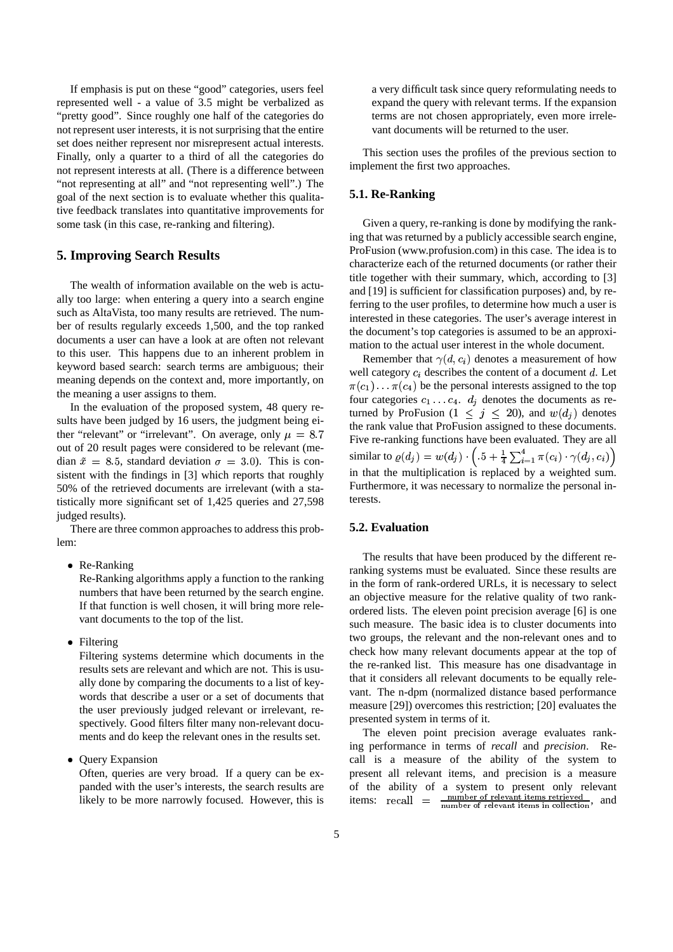If emphasis is put on these "good" categories, users feel represented well - a value of 3.5 might be verbalized as "pretty good". Since roughly one half of the categories do not represent user interests, it is not surprising that the entire set does neither represent nor misrepresent actual interests. Finally, only a quarter to a third of all the categories do not represent interests at all. (There is a difference between "not representing at all" and "not representing well".) The goal of the next section is to evaluate whether this qualitative feedback translates into quantitative improvements for some task (in this case, re-ranking and filtering).

# **5. Improving Search Results**

The wealth of information available on the web is actually too large: when entering a query into a search engine such as AltaVista, too many results are retrieved. The number of results regularly exceeds 1,500, and the top ranked documents a user can have a look at are often not relevant to this user. This happens due to an inherent problem in keyword based search: search terms are ambiguous; their meaning depends on the context and, more importantly, on the meaning a user assigns to them.

In the evaluation of the proposed system, 48 query results have been judged by 16 users, the judgment being either "relevant" or "irrelevant". On average, only  $\mu = 8.7$ out of 20 result pages were considered to be relevant (median  $\tilde{x} = 8.5$ , standard deviation  $\sigma = 3.0$ ). This is consistent with the findings in [3] which reports that roughly 50% of the retrieved documents are irrelevant (with a statistically more significant set of 1,425 queries and 27,598 judged results).

There are three common approaches to address this problem:

• Re-Ranking

Re-Ranking algorithms apply a function to the ranking numbers that have been returned by the search engine. If that function is well chosen, it will bring more relevant documents to the top of the list.

• Filtering

Filtering systems determine which documents in the results sets are relevant and which are not. This is usually done by comparing the documents to a list of keywords that describe a user or a set of documents that the user previously judged relevant or irrelevant, respectively. Good filters filter many non-relevant documents and do keep the relevant ones in the results set.

• Query Expansion

Often, queries are very broad. If a query can be expanded with the user's interests, the search results are likely to be more narrowly focused. However, this is

a very difficult task since query reformulating needs to expand the query with relevant terms. If the expansion terms are not chosen appropriately, even more irrelevant documents will be returned to the user.

This section uses the profiles of the previous section to implement the first two approaches.

#### **5.1. Re-Ranking**

Given a query, re-ranking is done by modifying the ranking that was returned by a publicly accessible search engine, ProFusion (www.profusion.com) in this case. The idea is to characterize each of the returned documents (or rather their title together with their summary, which, according to [3] and [19] is sufficient for classification purposes) and, by referring to the user profiles, to determine how much a user is interested in these categories. The user's average interest in the document's top categories is assumed to be an approximation to the actual user interest in the whole document.

Remember that  $\gamma(d, c_i)$  denotes a measurement of how well category  $c_i$  describes the content of a document  $d$ . Let  $\pi(c_1) \dots \pi(c_4)$  be the personal interests assigned to the top four categories  $c_1 \ldots c_4$ .  $d_j$  denotes the documents as returned by ProFusion (1  $\leq$  j  $\leq$  20), and  $w(d_i)$  denotes the rank value that ProFusion assigned to these documents. Five re-ranking functions have been evaluated. They are all similar to  $\varrho(d_j) = w(d_j) \cdot \left( .5 + \frac{1}{4} \sum_{i=1}^4 \pi(c_i) \cdot \gamma(d_j, c_i) \right)$ <br>in that the multiplication is replaced by a weighted sum. Furthermore, it was necessary to normalize the personal interests.

# **5.2. Evaluation**

The results that have been produced by the different reranking systems must be evaluated. Since these results are in the form of rank-ordered URLs, it is necessary to select an objective measure for the relative quality of two rankordered lists. The eleven point precision average [6] is one such measure. The basic idea is to cluster documents into two groups, the relevant and the non-relevant ones and to check how many relevant documents appear at the top of the re-ranked list. This measure has one disadvantage in that it considers all relevant documents to be equally relevant. The n-dpm (normalized distance based performance measure [29]) overcomes this restriction; [20] evaluates the presented system in terms of it.

The eleven point precision average evaluates ranking performance in terms of *recall* and *precision*. Recall is a measure of the ability of the system to present all relevant items, and precision is a measure of the ability of a system to present only relevant items:  $\text{recall} = \frac{\text{number of relevant it}}{\text{number of relevant it}}$ #  $\frac{\text{number of relevant items retrieved}}{\text{number of relevant items in collection}}, \text{ and}$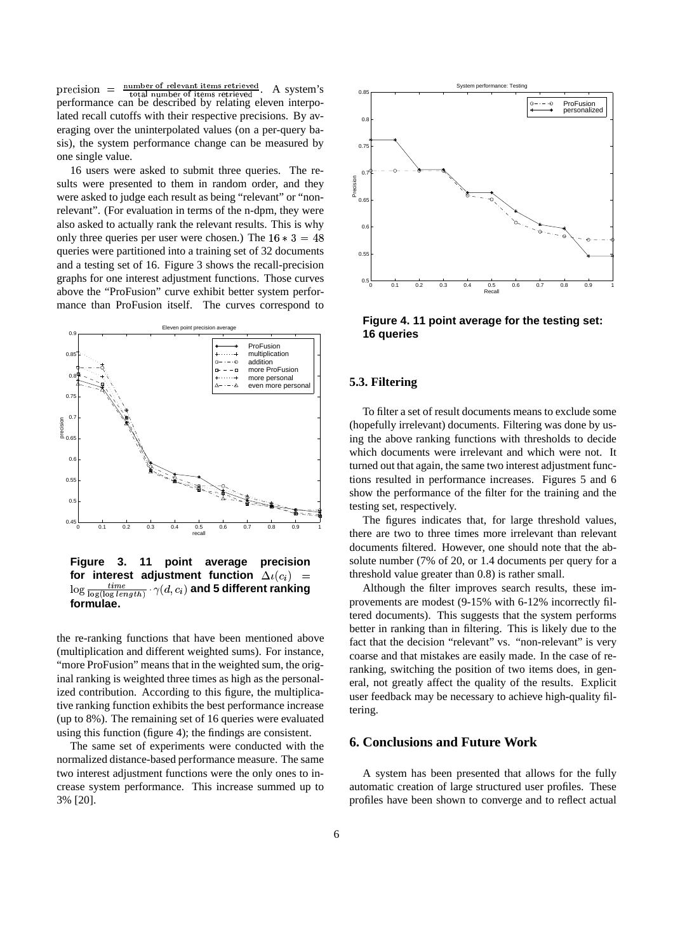precision =  $\text{recision} = \frac{\text{number of relevant it}}{\text{total number of its}}$ # er of relevant items retrieved . A system's<br>I number of items retrieved . total number of items retrieved performance can be described by relating eleven interpolated recall cutoffs with their respective precisions. By averaging over the uninterpolated values (on a per-query basis), the system performance change can be measured by one single value.

16 users were asked to submit three queries. The results were presented to them in random order, and they were asked to judge each result as being "relevant" or "nonrelevant". (For evaluation in terms of the n-dpm, they were also asked to actually rank the relevant results. This is why only three queries per user were chosen.) The  $16 \times 3 = 48$ queries were partitioned into a training set of 32 documents and a testing set of 16. Figure 3 shows the recall-precision graphs for one interest adjustment functions. Those curves above the "ProFusion" curve exhibit better system performance than ProFusion itself. The curves correspond to



**Figure 3. 11 point average precision for interest adjustment function**  $\Delta \iota(c_i)$  =  $\log \frac{time}{log (log length)} \cdot \gamma$  $\cdot \gamma(d, c_i)$  and 5 different ranking **formulae.**

the re-ranking functions that have been mentioned above (multiplication and different weighted sums). For instance, "more ProFusion" means that in the weighted sum, the original ranking is weighted three times as high as the personalized contribution. According to this figure, the multiplicative ranking function exhibits the best performance increase (up to 8%). The remaining set of 16 queries were evaluated using this function (figure 4); the findings are consistent.

The same set of experiments were conducted with the normalized distance-based performance measure. The same two interest adjustment functions were the only ones to increase system performance. This increase summed up to 3% [20].



**Figure 4. 11 point average for the testing set: 16 queries**

# **5.3. Filtering**

To filter a set of result documents means to exclude some (hopefully irrelevant) documents. Filtering was done by using the above ranking functions with thresholds to decide which documents were irrelevant and which were not. It turned out that again, the same two interest adjustment functions resulted in performance increases. Figures 5 and 6 show the performance of the filter for the training and the testing set, respectively.

The figures indicates that, for large threshold values, there are two to three times more irrelevant than relevant documents filtered. However, one should note that the absolute number (7% of 20, or 1.4 documents per query for a threshold value greater than 0.8) is rather small.

Although the filter improves search results, these improvements are modest (9-15% with 6-12% incorrectly filtered documents). This suggests that the system performs better in ranking than in filtering. This is likely due to the fact that the decision "relevant" vs. "non-relevant" is very coarse and that mistakes are easily made. In the case of reranking, switching the position of two items does, in general, not greatly affect the quality of the results. Explicit user feedback may be necessary to achieve high-quality filtering.

# **6. Conclusions and Future Work**

A system has been presented that allows for the fully automatic creation of large structured user profiles. These profiles have been shown to converge and to reflect actual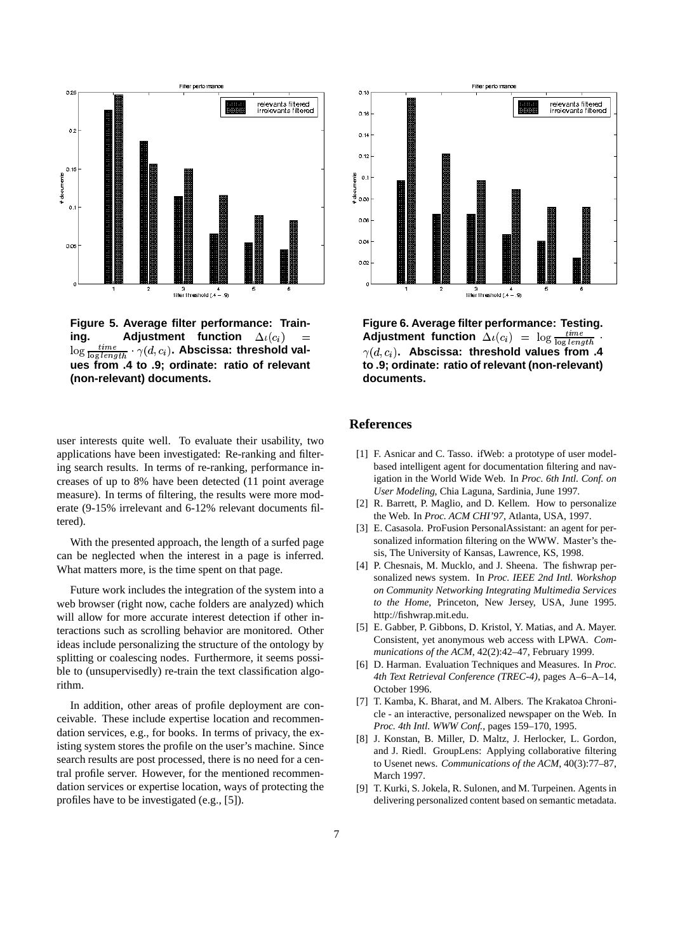

**Figure 5. Average filter performance: Training.** Adjustment function  $\Delta \iota(c_i)$  $\log \frac{time}{log length} \cdot \gamma(d, c_i)$ . Abscissa: threshold val**ues from .4 to .9; ordinate: ratio of relevant (non-relevant) documents.**

user interests quite well. To evaluate their usability, two applications have been investigated: Re-ranking and filtering search results. In terms of re-ranking, performance increases of up to 8% have been detected (11 point average measure). In terms of filtering, the results were more moderate (9-15% irrelevant and 6-12% relevant documents filtered).

With the presented approach, the length of a surfed page can be neglected when the interest in a page is inferred. What matters more, is the time spent on that page.

Future work includes the integration of the system into a web browser (right now, cache folders are analyzed) which will allow for more accurate interest detection if other interactions such as scrolling behavior are monitored. Other ideas include personalizing the structure of the ontology by splitting or coalescing nodes. Furthermore, it seems possible to (unsupervisedly) re-train the text classification algorithm.

In addition, other areas of profile deployment are conceivable. These include expertise location and recommendation services, e.g., for books. In terms of privacy, the existing system stores the profile on the user's machine. Since search results are post processed, there is no need for a central profile server. However, for the mentioned recommendation services or expertise location, ways of protecting the profiles have to be investigated (e.g., [5]).



**Figure 6. Average filter performance: Testing.** Adjustment function  $\Delta \iota(c_i)$  =  $\log \frac{time}{\log lenath}$  ·  $\gamma(d, c_i)$ . Abscissa: threshold values from .4 **to .9; ordinate: ratio of relevant (non-relevant) documents.**

### **References**

- [1] F. Asnicar and C. Tasso. if Web: a prototype of user modelbased intelligent agent for documentation filtering and navigation in the World Wide Web. In *Proc. 6th Intl. Conf. on User Modeling*, Chia Laguna, Sardinia, June 1997.
- [2] R. Barrett, P. Maglio, and D. Kellem. How to personalize the Web. In *Proc. ACM CHI'97*, Atlanta, USA, 1997.
- [3] E. Casasola. ProFusion PersonalAssistant: an agent for personalized information filtering on the WWW. Master's thesis, The University of Kansas, Lawrence, KS, 1998.
- [4] P. Chesnais, M. Mucklo, and J. Sheena. The fishwrap personalized news system. In *Proc. IEEE 2nd Intl. Workshop on Community Networking Integrating Multimedia Services to the Home*, Princeton, New Jersey, USA, June 1995. http://fishwrap.mit.edu.
- [5] E. Gabber, P. Gibbons, D. Kristol, Y. Matias, and A. Mayer. Consistent, yet anonymous web access with LPWA. *Communications of the ACM*, 42(2):42–47, February 1999.
- [6] D. Harman. Evaluation Techniques and Measures. In *Proc. 4th Text Retrieval Conference (TREC-4)*, pages A–6–A–14, October 1996.
- [7] T. Kamba, K. Bharat, and M. Albers. The Krakatoa Chronicle - an interactive, personalized newspaper on the Web. In *Proc. 4th Intl. WWW Conf.*, pages 159–170, 1995.
- [8] J. Konstan, B. Miller, D. Maltz, J. Herlocker, L. Gordon, and J. Riedl. GroupLens: Applying collaborative filtering to Usenet news. *Communications of the ACM*, 40(3):77–87, March 1997.
- [9] T. Kurki, S. Jokela, R. Sulonen, and M. Turpeinen. Agentsin delivering personalized content based on semantic metadata.